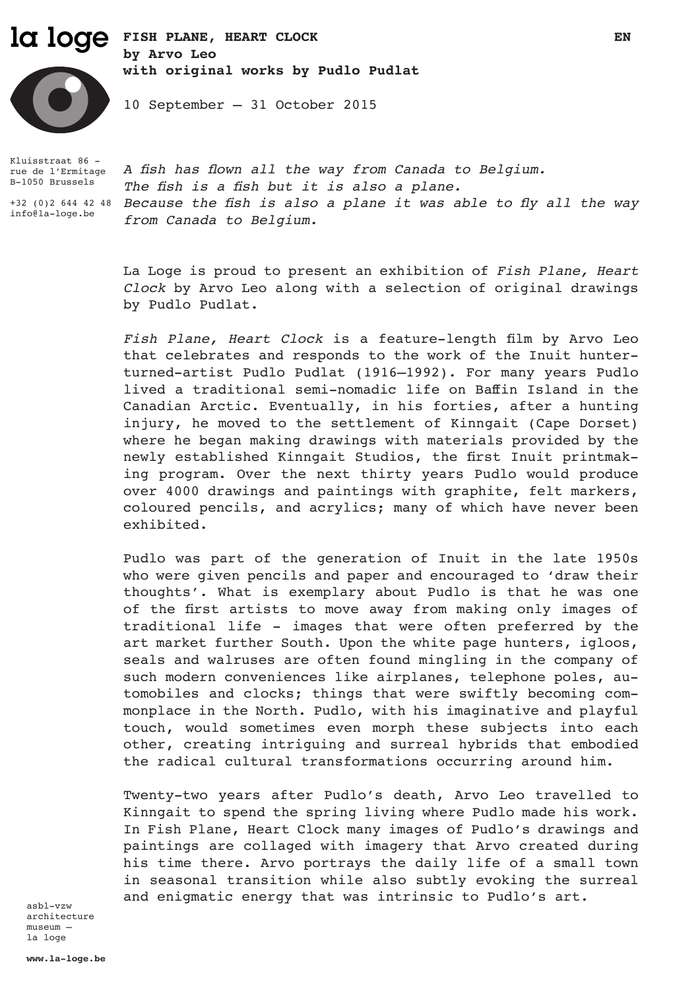# la loge FISH PLANE, HEART CLOCK EN **by Arvo Leo**

**with original works by Pudlo Pudlat** 



10 September – 31 October 2015

Kluisstraat 86 rue de l'Ermitage B-1050 Brussels

info@la-loge.be

+32 (0)2 644 42 48 *Because the fish is also a plane it was able to fly all the way A fish has flown all the way from Canada to Belgium. The fish is a fish but it is also a plane. from Canada to Belgium.*

> La Loge is proud to present an exhibition of *Fish Plane, Heart Clock* by Arvo Leo along with a selection of original drawings by Pudlo Pudlat.

> *Fish Plane, Heart Clock* is a feature-length film by Arvo Leo that celebrates and responds to the work of the Inuit hunterturned-artist Pudlo Pudlat (1916–1992). For many years Pudlo lived a traditional semi-nomadic life on Baffin Island in the Canadian Arctic. Eventually, in his forties, after a hunting injury, he moved to the settlement of Kinngait (Cape Dorset) where he began making drawings with materials provided by the newly established Kinngait Studios, the first Inuit printmaking program. Over the next thirty years Pudlo would produce over 4000 drawings and paintings with graphite, felt markers, coloured pencils, and acrylics; many of which have never been exhibited.

> Pudlo was part of the generation of Inuit in the late 1950s who were given pencils and paper and encouraged to 'draw their thoughts'. What is exemplary about Pudlo is that he was one of the first artists to move away from making only images of traditional life - images that were often preferred by the art market further South. Upon the white page hunters, igloos, seals and walruses are often found mingling in the company of such modern conveniences like airplanes, telephone poles, automobiles and clocks; things that were swiftly becoming commonplace in the North. Pudlo, with his imaginative and playful touch, would sometimes even morph these subjects into each other, creating intriguing and surreal hybrids that embodied the radical cultural transformations occurring around him.

> Twenty-two years after Pudlo's death, Arvo Leo travelled to Kinngait to spend the spring living where Pudlo made his work. In Fish Plane, Heart Clock many images of Pudlo's drawings and paintings are collaged with imagery that Arvo created during his time there. Arvo portrays the daily life of a small town in seasonal transition while also subtly evoking the surreal and enigmatic energy that was intrinsic to Pudlo's art.

asbl-vzw architecture museum – la loge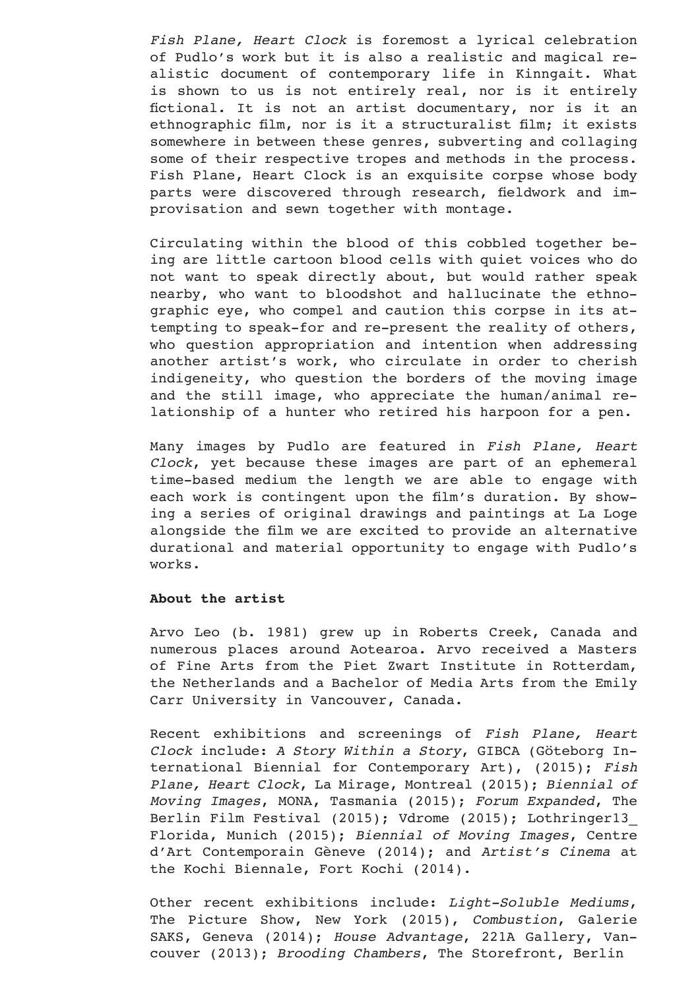*Fish Plane, Heart Clock* is foremost a lyrical celebration of Pudlo's work but it is also a realistic and magical realistic document of contemporary life in Kinngait. What is shown to us is not entirely real, nor is it entirely fictional. It is not an artist documentary, nor is it an ethnographic film, nor is it a structuralist film; it exists somewhere in between these genres, subverting and collaging some of their respective tropes and methods in the process. Fish Plane, Heart Clock is an exquisite corpse whose body parts were discovered through research, fieldwork and improvisation and sewn together with montage.

Circulating within the blood of this cobbled together being are little cartoon blood cells with quiet voices who do not want to speak directly about, but would rather speak nearby, who want to bloodshot and hallucinate the ethnographic eye, who compel and caution this corpse in its attempting to speak-for and re-present the reality of others, who question appropriation and intention when addressing another artist's work, who circulate in order to cherish indigeneity, who question the borders of the moving image and the still image, who appreciate the human/animal relationship of a hunter who retired his harpoon for a pen.

Many images by Pudlo are featured in *Fish Plane, Heart Clock*, yet because these images are part of an ephemeral time-based medium the length we are able to engage with each work is contingent upon the film's duration. By showing a series of original drawings and paintings at La Loge alongside the film we are excited to provide an alternative durational and material opportunity to engage with Pudlo's works.

## **About the artist**

Arvo Leo (b. 1981) grew up in Roberts Creek, Canada and numerous places around Aotearoa. Arvo received a Masters of Fine Arts from the Piet Zwart Institute in Rotterdam, the Netherlands and a Bachelor of Media Arts from the Emily Carr University in Vancouver, Canada.

Recent exhibitions and screenings of *Fish Plane, Heart Clock* include: *A Story Within a Story*, GIBCA (Göteborg International Biennial for Contemporary Art), (2015); *Fish Plane, Heart Clock*, La Mirage, Montreal (2015); *Biennial of Moving Images*, MONA, Tasmania (2015); *Forum Expanded*, The Berlin Film Festival (2015); Vdrome (2015); Lothringer13\_ Florida, Munich (2015); *Biennial of Moving Images*, Centre d'Art Contemporain Gèneve (2014); and *Artist's Cinema* at the Kochi Biennale, Fort Kochi (2014).

Other recent exhibitions include: *Light-Soluble Mediums*, The Picture Show, New York (2015), *Combustion*, Galerie SAKS, Geneva (2014); *House Advantage*, 221A Gallery, Vancouver (2013); *Brooding Chambers*, The Storefront, Berlin